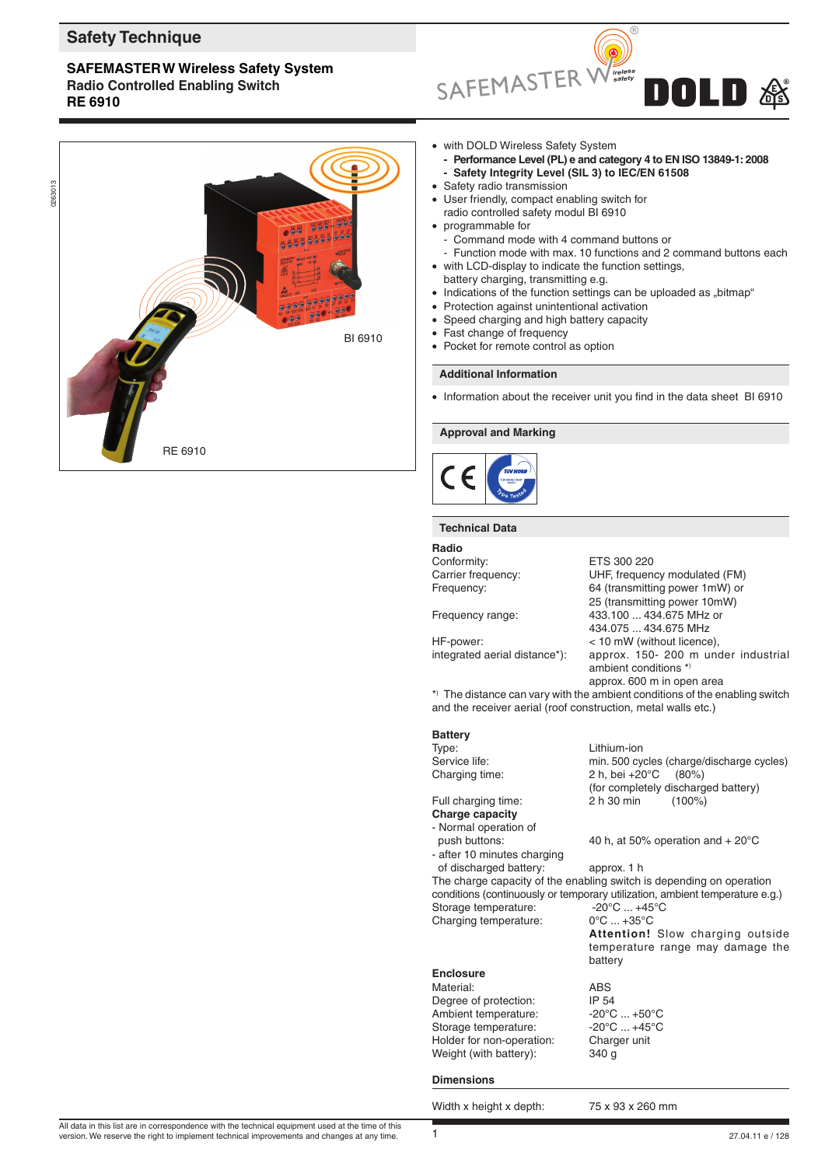# **Safety Technique**

# **SAFEMASTERW Wireless Safety System Radio Controlled Enabling Switch RE 6910**





- with DOLD Wireless Safety System
- **- Performance Level (PL) e and category 4 to EN ISO 13849-1: 2008 - Safety Integrity Level (SIL 3) to IEC/EN 61508**
- Safety radio transmission
- User friendly, compact enabling switch for
- radio controlled safety modul BI 6910
- programmable for
	- Command mode with 4 command buttons or
	- Function mode with max. 10 functions and 2 command buttons each
- with LCD-display to indicate the function settings, battery charging, transmitting e.g.
- $\bullet$  Indications of the function settings can be uploaded as "bitmap"
- Protection against unintentional activation
- Speed charging and high battery capacity
- Fast change of frequency
- Pocket for remote control as option

# **Additional Information**

• Information about the receiver unit you find in the data sheet BI 6910

# **Approval and Marking**



#### **Technical Data**

| Radio                                                         |                                                                              |  |
|---------------------------------------------------------------|------------------------------------------------------------------------------|--|
| Conformity:                                                   | ETS 300 220                                                                  |  |
| Carrier frequency:                                            | UHF, frequency modulated (FM)                                                |  |
| Frequency:                                                    | 64 (transmitting power 1mW) or                                               |  |
|                                                               | 25 (transmitting power 10mW)                                                 |  |
| Frequency range:                                              | 433.100  434.675 MHz or                                                      |  |
|                                                               | 434.075  434.675 MHz                                                         |  |
| HF-power:                                                     | < 10 mW (without licence),                                                   |  |
| integrated aerial distance*):                                 | approx. 150- 200 m under industrial                                          |  |
|                                                               | ambient conditions $*$                                                       |  |
|                                                               | approx. 600 m in open area                                                   |  |
|                                                               | *) The distance can vary with the ambient conditions of the enabling switch  |  |
| and the receiver aerial (roof construction, metal walls etc.) |                                                                              |  |
|                                                               |                                                                              |  |
| <b>Battery</b>                                                |                                                                              |  |
| Type:                                                         | Lithium-ion                                                                  |  |
| Service life:                                                 | min. 500 cycles (charge/discharge cycles)                                    |  |
| Charging time:                                                | 2 h, bei +20°C<br>$(80\%)$                                                   |  |
|                                                               | (for completely discharged battery)                                          |  |
| Full charging time:                                           | 2 h 30 min<br>$(100\%)$                                                      |  |
| Charge capacity                                               |                                                                              |  |
| - Normal operation of                                         |                                                                              |  |
| push buttons:                                                 | 40 h, at 50% operation and $+20^{\circ}$ C                                   |  |
| - after 10 minutes charging                                   |                                                                              |  |
| of discharged battery:                                        | approx. 1 h                                                                  |  |
|                                                               | The charge capacity of the enabling switch is depending on operation         |  |
|                                                               | conditions (continuously or temporary utilization, ambient temperature e.g.) |  |
| Storage temperature:                                          | $-20^{\circ}$ C $+45^{\circ}$ C                                              |  |
| Charging temperature:                                         | $0^{\circ}$ C  +35 $^{\circ}$ C                                              |  |
|                                                               | Attention! Slow charging outside                                             |  |
|                                                               | temperature range may damage the                                             |  |
|                                                               | battery                                                                      |  |

| <b>Enclosure</b>          |                                 |
|---------------------------|---------------------------------|
| Material:                 | ABS                             |
| Degree of protection:     | IP 54                           |
| Ambient temperature:      | $-20^{\circ}$ C $+50^{\circ}$ C |
| Storage temperature:      | $-20^{\circ}$ C $+45^{\circ}$ C |
| Holder for non-operation: | Charger unit                    |
| Weight (with battery):    | 340 g                           |

### **Dimensions**

Width x height x depth: 75 x 93 x 260 mm